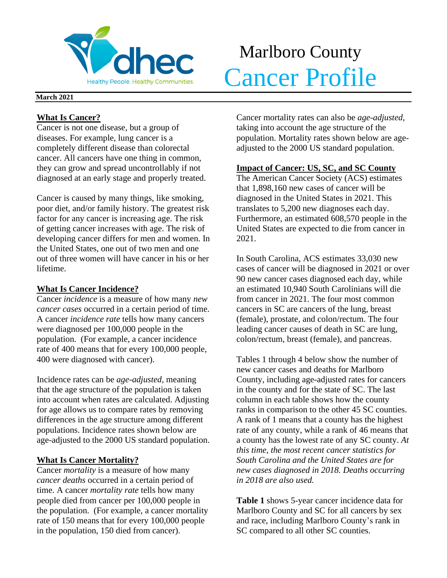

## Marlboro County Manuolo County

#### **March 2021**

## **What Is Cancer?**

Cancer is not one disease, but a group of diseases. For example, lung cancer is a completely different disease than colorectal cancer. All cancers have one thing in common, they can grow and spread uncontrollably if not diagnosed at an early stage and properly treated.

Cancer is caused by many things, like smoking, poor diet, and/or family history. The greatest risk factor for any cancer is increasing age. The risk of getting cancer increases with age. The risk of developing cancer differs for men and women. In the United States, one out of two men and one out of three women will have cancer in his or her lifetime.

## **What Is Cancer Incidence?**

Cancer *incidence* is a measure of how many *new cancer cases* occurred in a certain period of time. A cancer *incidence rate* tells how many cancers were diagnosed per 100,000 people in the population. (For example, a cancer incidence rate of 400 means that for every 100,000 people, 400 were diagnosed with cancer).

Incidence rates can be *age-adjusted*, meaning that the age structure of the population is taken into account when rates are calculated. Adjusting for age allows us to compare rates by removing differences in the age structure among different populations. Incidence rates shown below are age-adjusted to the 2000 US standard population.

## **What Is Cancer Mortality?**

Cancer *mortality* is a measure of how many *cancer deaths* occurred in a certain period of time. A cancer *mortality rate* tells how many people died from cancer per 100,000 people in the population. (For example, a cancer mortality rate of 150 means that for every 100,000 people in the population, 150 died from cancer).

Cancer mortality rates can also be *age-adjusted*, taking into account the age structure of the population. Mortality rates shown below are ageadjusted to the 2000 US standard population.

## **Impact of Cancer: US, SC, and SC County**

The American Cancer Society (ACS) estimates that 1,898,160 new cases of cancer will be diagnosed in the United States in 2021. This translates to 5,200 new diagnoses each day. Furthermore, an estimated 608,570 people in the United States are expected to die from cancer in 2021.

In South Carolina, ACS estimates 33,030 new cases of cancer will be diagnosed in 2021 or over 90 new cancer cases diagnosed each day, while an estimated 10,940 South Carolinians will die from cancer in 2021. The four most common cancers in SC are cancers of the lung, breast (female), prostate, and colon/rectum. The four leading cancer causes of death in SC are lung, colon/rectum, breast (female), and pancreas.

Tables 1 through 4 below show the number of new cancer cases and deaths for Marlboro County, including age-adjusted rates for cancers in the county and for the state of SC. The last column in each table shows how the county ranks in comparison to the other 45 SC counties. A rank of 1 means that a county has the highest rate of any county, while a rank of 46 means that a county has the lowest rate of any SC county. *At this time, the most recent cancer statistics for South Carolina and the United States are for new cases diagnosed in 2018. Deaths occurring in 2018 are also used.*

**Table 1** shows 5-year cancer incidence data for Marlboro County and SC for all cancers by sex and race, including Marlboro County's rank in SC compared to all other SC counties.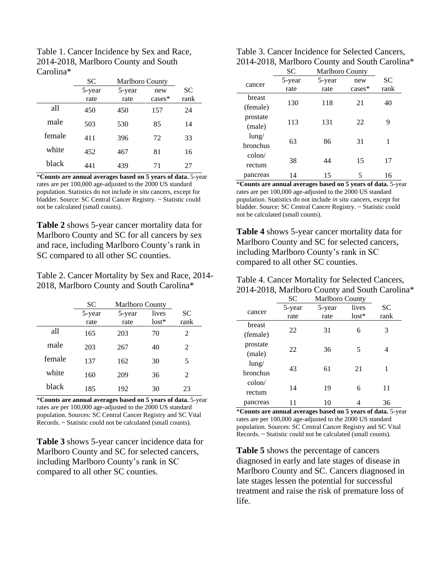| Table 1. Cancer Incidence by Sex and Race, |
|--------------------------------------------|
| 2014-2018, Marlboro County and South       |
| Carolina <sup>*</sup>                      |

|        | <b>SC</b> | Marlboro County |           |           |
|--------|-----------|-----------------|-----------|-----------|
|        | 5-year    | 5-year          | new       | <b>SC</b> |
|        | rate      | rate            | $cases^*$ | rank      |
| all    | 450       | 450             | 157       | 24        |
| male   | 503       | 530             | 85        | 14        |
| female | 411       | 396             | 72        | 33        |
| white  | 452       | 467             | 81        | 16        |
| black  | 441       | 439             | 71        | 27        |

\***Counts are annual averages based on 5 years of data.** 5-year rates are per 100,000 age-adjusted to the 2000 US standard population. Statistics do not include *in situ* cancers, except for bladder. Source: SC Central Cancer Registry. ~ Statistic could not be calculated (small counts).

**Table 2** shows 5-year cancer mortality data for Marlboro County and SC for all cancers by sex and race, including Marlboro County's rank in SC compared to all other SC counties.

Table 2. Cancer Mortality by Sex and Race, 2014- 2018, Marlboro County and South Carolina\*

|        | SС     | <b>Marlboro County</b> |         |      |
|--------|--------|------------------------|---------|------|
|        | 5-year | 5-year                 | lives   | SС   |
|        | rate   | rate                   | $lost*$ | rank |
| all    | 165    | 203                    | 70      | 2    |
| male   | 203    | 267                    | 40      | 2    |
| female | 137    | 162                    | 30      | 5    |
| white  | 160    | 209                    | 36      | 2    |
| black  | 185    | 192                    | 30      | 23   |

\***Counts are annual averages based on 5 years of data.** 5-year rates are per 100,000 age-adjusted to the 2000 US standard population. Sources: SC Central Cancer Registry and SC Vital Records. ~ Statistic could not be calculated (small counts).

**Table 3** shows 5-year cancer incidence data for Marlboro County and SC for selected cancers, including Marlboro County's rank in SC compared to all other SC counties.

| Table 3. Cancer Incidence for Selected Cancers, |
|-------------------------------------------------|
| 2014-2018, Marlboro County and South Carolina*  |

|          | SC     | <b>Marlboro County</b> |          |      |  |
|----------|--------|------------------------|----------|------|--|
| cancer   | 5-year | 5-year                 | new      | SС   |  |
|          | rate   | rate                   | $cases*$ | rank |  |
| breast   |        |                        | 21       |      |  |
| (female) | 130    | 118                    |          | 40   |  |
| prostate |        |                        |          | 9    |  |
| (male)   | 113    | 131                    | 22       |      |  |
| $l$ ung/ | 63     |                        | 31       | 1    |  |
| bronchus |        | 86                     |          |      |  |
| colon/   |        |                        |          |      |  |
| rectum   | 38     | 44                     | 15       | 17   |  |
| pancreas | 14     | 15                     | 5        | 16   |  |

\***Counts are annual averages based on 5 years of data.** 5-year rates are per 100,000 age-adjusted to the 2000 US standard population. Statistics do not include *in situ* cancers, except for bladder. Source: SC Central Cancer Registry. ~ Statistic could not be calculated (small counts).

**Table 4** shows 5-year cancer mortality data for Marlboro County and SC for selected cancers, including Marlboro County's rank in SC compared to all other SC counties.

| Table 4. Cancer Mortality for Selected Cancers, |
|-------------------------------------------------|
| 2014-2018, Marlboro County and South Carolina*  |

|                 | <b>SC</b> | Marlboro County |         |      |
|-----------------|-----------|-----------------|---------|------|
|                 | 5-year    | 5-year          | lives   | SС   |
| cancer          | rate      | rate            | $lost*$ | rank |
| breast          |           |                 |         |      |
| (female)        | 22        | 31              | 6       | 3    |
| prostate        |           |                 |         |      |
| (male)          | 22        | 36              | 5       | 4    |
| $l$ ung/        |           |                 |         |      |
| bronchus        | 43        | 61              | 21      | 1    |
| $\text{colon}/$ |           |                 |         |      |
| rectum          | 14        | 19              | 6       | 11   |
| pancreas        |           | 10              |         | 36   |

\***Counts are annual averages based on 5 years of data.** 5-year rates are per 100,000 age-adjusted to the 2000 US standard population. Sources: SC Central Cancer Registry and SC Vital Records. ~ Statistic could not be calculated (small counts).

**Table 5** shows the percentage of cancers diagnosed in early and late stages of disease in Marlboro County and SC. Cancers diagnosed in late stages lessen the potential for successful treatment and raise the risk of premature loss of life.